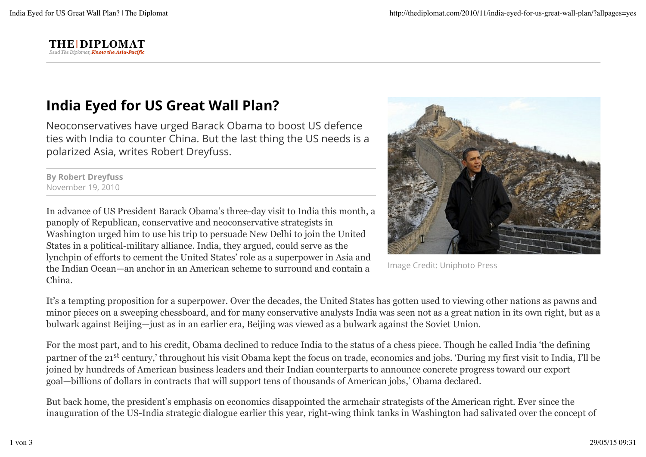

## India Eyed for US Great Wall Plan?

Neoconservatives have urged Barack Obama to boost US defence ties with India to counter China. But the last thing the US needs is a polarized Asia, writes Robert Dreyfuss.

By Robert Dreyfuss November 19, 2010

In advance of US President Barack Obama's three-day visit to India this month, a panoply of Republican, conservative and neoconservative strategists in Washington urged him to use his trip to persuade New Delhi to join the United States in a political-military alliance. India, they argued, could serve as the lynchpin of efforts to cement the United States' role as a superpower in Asia and the Indian Ocean—an anchor in an American scheme to surround and contain a China.



Image Credit: Uniphoto Press

It's a tempting proposition for a superpower. Over the decades, the United States has gotten used to viewing other nations as pawns and minor pieces on a sweeping chessboard, and for many conservative analysts India was seen not as a great nation in its own right, but as a bulwark against Beijing—just as in an earlier era, Beijing was viewed as a bulwark against the Soviet Union.

For the most part, and to his credit, Obama declined to reduce India to the status of a chess piece. Though he called India 'the defining partner of the 21<sup>st</sup> century,' throughout his visit Obama kept the focus on trade, economics and jobs. 'During my first visit to India, I'll be joined by hundreds of American business leaders and their Indian counterparts to announce concrete progress toward our export goal—billions of dollars in contracts that will support tens of thousands of American jobs,' Obama declared.

But back home, the president's emphasis on economics disappointed the armchair strategists of the American right. Ever since the inauguration of the US-India strategic dialogue earlier this year, right-wing think tanks in Washington had salivated over the concept of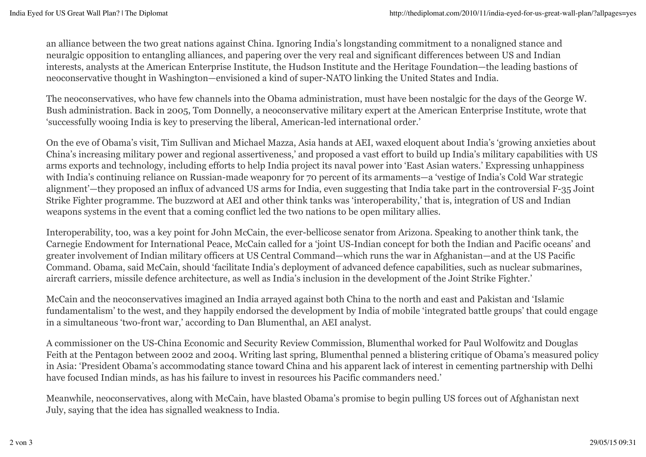an alliance between the two great nations against China. Ignoring India's longstanding commitment to a nonaligned stance and neuralgic opposition to entangling alliances, and papering over the very real and significant differences between US and Indian interests, analysts at the American Enterprise Institute, the Hudson Institute and the Heritage Foundation—the leading bastions of neoconservative thought in Washington—envisioned a kind of super-NATO linking the United States and India.

The neoconservatives, who have few channels into the Obama administration, must have been nostalgic for the days of the George W. Bush administration. Back in 2005, Tom Donnelly, a neoconservative military expert at the American Enterprise Institute, wrote that 'successfully wooing India is key to preserving the liberal, American-led international order.'

On the eve of Obama's visit, Tim Sullivan and Michael Mazza, Asia hands at AEI, waxed eloquent about India's 'growing anxieties about China's increasing military power and regional assertiveness,' and proposed a vast effort to build up India's military capabilities with US arms exports and technology, including efforts to help India project its naval power into 'East Asian waters.' Expressing unhappiness with India's continuing reliance on Russian-made weaponry for 70 percent of its armaments—a 'vestige of India's Cold War strategic alignment'—they proposed an influx of advanced US arms for India, even suggesting that India take part in the controversial F-35 Joint Strike Fighter programme. The buzzword at AEI and other think tanks was 'interoperability,' that is, integration of US and Indian weapons systems in the event that a coming conflict led the two nations to be open military allies.

Interoperability, too, was a key point for John McCain, the ever-bellicose senator from Arizona. Speaking to another think tank, the Carnegie Endowment for International Peace, McCain called for a 'joint US-Indian concept for both the Indian and Pacific oceans' and greater involvement of Indian military officers at US Central Command—which runs the war in Afghanistan—and at the US Pacific Command. Obama, said McCain, should 'facilitate India's deployment of advanced defence capabilities, such as nuclear submarines, aircraft carriers, missile defence architecture, as well as India's inclusion in the development of the Joint Strike Fighter.'

McCain and the neoconservatives imagined an India arrayed against both China to the north and east and Pakistan and 'Islamic fundamentalism' to the west, and they happily endorsed the development by India of mobile 'integrated battle groups' that could engage in a simultaneous 'two-front war,' according to Dan Blumenthal, an AEI analyst.

A commissioner on the US-China Economic and Security Review Commission, Blumenthal worked for Paul Wolfowitz and Douglas Feith at the Pentagon between 2002 and 2004. Writing last spring, Blumenthal penned a blistering critique of Obama's measured policy in Asia: 'President Obama's accommodating stance toward China and his apparent lack of interest in cementing partnership with Delhi have focused Indian minds, as has his failure to invest in resources his Pacific commanders need.'

Meanwhile, neoconservatives, along with McCain, have blasted Obama's promise to begin pulling US forces out of Afghanistan next July, saying that the idea has signalled weakness to India.